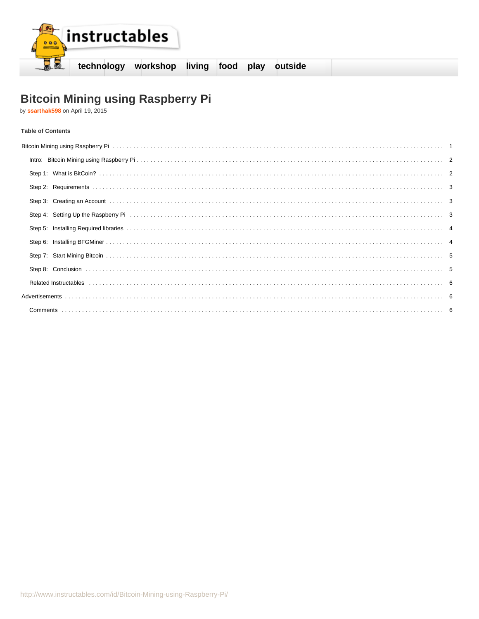

# Bitcoin Mining using Raspberry Pi<br>by ssarthak598 on April 19, 2015

## **Table of Contents**

| Bitcoin Mining using Raspberry Pind Materian Materia and Materia and Materia and Materia and Mining using Raspberry Pind Materia and Materia and Materia and Materia and Materia and Materia and Materia and Materia and Mater |  |
|--------------------------------------------------------------------------------------------------------------------------------------------------------------------------------------------------------------------------------|--|
|                                                                                                                                                                                                                                |  |
|                                                                                                                                                                                                                                |  |
|                                                                                                                                                                                                                                |  |
|                                                                                                                                                                                                                                |  |
| Step 4: Setting Up the Raspberry Pind and Communication of the Contractor of the Raspberry Pind and Communication of the Raspberry Pind and Communication of the Raspberry Pind and Communication of the Raspberry Pind and Co |  |
|                                                                                                                                                                                                                                |  |
|                                                                                                                                                                                                                                |  |
|                                                                                                                                                                                                                                |  |
|                                                                                                                                                                                                                                |  |
|                                                                                                                                                                                                                                |  |
|                                                                                                                                                                                                                                |  |
|                                                                                                                                                                                                                                |  |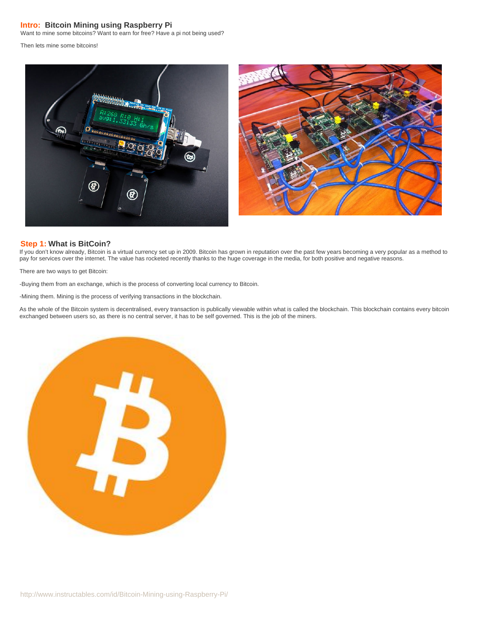## <span id="page-1-0"></span>**Intro: Bitcoin Mining using Raspberry Pi**

Want to mine some bitcoins? Want to earn for free? Have a pi not being used?

Then lets mine some bitcoins!



#### **Step 1: What is BitCoin?**

If you don't know already, Bitcoin is a virtual currency set up in 2009. Bitcoin has grown in reputation over the past few years becoming a very popular as a method to pay for services over the internet. The value has rocketed recently thanks to the huge coverage in the media, for both positive and negative reasons.

There are two ways to get Bitcoin:

-Buying them from an exchange, which is the process of converting local currency to Bitcoin.

-Mining them. Mining is the process of verifying transactions in the blockchain.

As the whole of the Bitcoin system is decentralised, every transaction is publically viewable within what is called the blockchain. This blockchain contains every bitcoin exchanged between users so, as there is no central server, it has to be self governed. This is the job of the miners.

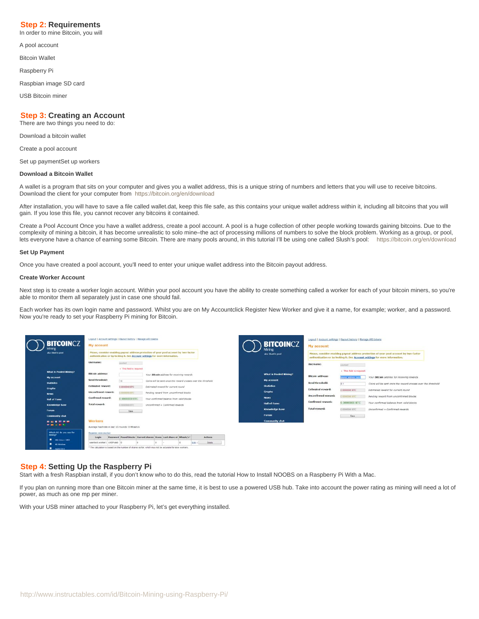### <span id="page-2-0"></span>**Step 2: Requirements**

In order to mine Bitcoin, you will

A pool account

Bitcoin Wallet

Raspberry Pi

Raspbian image SD card

USB Bitcoin miner

## **Step 3: Creating an Account**

There are two things you need to do:

Download a bitcoin wallet

Create a pool account

Set up paymentSet up workers

#### **Download a Bitcoin Wallet**

A wallet is a program that sits on your computer and gives you a wallet address, this is a unique string of numbers and letters that you will use to receive bitcoins. Download the client for your computer from<https://bitcoin.org/en/download>

After installation, you will have to save a file called wallet.dat, keep this file safe, as this contains your unique wallet address within it, including all bitcoins that you will gain. If you lose this file, you cannot recover any bitcoins it contained.

Create a Pool Account Once you have a wallet address, create a pool account. A pool is a huge collection of other people working towards gaining bitcoins. Due to the complexity of mining a bitcoin, it has become unrealistic to solo mine–the act of processing millions of numbers to solve the block problem. Working as a group, or pool, lets everyone have a chance of earning some Bitcoin. There are many pools around, in this tutorial I'll be using one called Slush's pool: [https://bitcoin.org/en/download](http://mining.bitcoin.cz/)

#### **Set Up Payment**

Once you have created a pool account, you'll need to enter your unique wallet address into the Bitcoin payout address.

#### **Create Worker Account**

Next step is to create a worker login account. Within your pool account you have the ability to create something called a worker for each of your bitcoin miners, so you're able to monitor them all separately just in case one should fail.

Each worker has its own login name and password. Whilst you are on My Accountclick Register New Worker and give it a name, for example; worker, and a password. Now you're ready to set your Raspberry Pi mining for Bitcoin.



### **Step 4: Setting Up the Raspberry Pi**

Start with a fresh Raspbian install, if you don't know who to do this, read the tutorial How to Install NOOBS on a Raspberry Pi With a Mac.

If you plan on running more than one Bitcoin miner at the same time, it is best to use a powered USB hub. Take into account the power rating as mining will need a lot of power, as much as one mp per miner.

With your USB miner attached to your Raspberry Pi, let's get everything installed.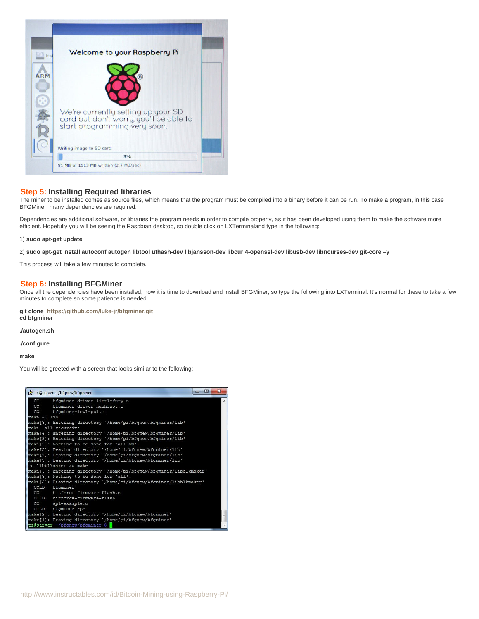<span id="page-3-0"></span>

## **Step 5: Installing Required libraries**

The miner to be installed comes as source files, which means that the program must be compiled into a binary before it can be run. To make a program, in this case BFGMiner, many dependencies are required.

Dependencies are additional software, or libraries the program needs in order to compile properly, as it has been developed using them to make the software more efficient. Hopefully you will be seeing the Raspbian desktop, so double click on LXTerminaland type in the following:

#### 1) **sudo apt-get update**

2) **sudo apt-get install autoconf autogen libtool uthash-dev libjansson-dev libcurl4-openssl-dev libusb-dev libncurses-dev git-core –y**

This process will take a few minutes to complete.

#### **Step 6: Installing BFGMiner**

Once all the dependencies have been installed, now it is time to download and install BFGMiner, so type the following into LXTerminal. It's normal for these to take a few minutes to complete so some patience is needed.

**git clone <https://github.com/luke-jr/bfgminer.git> cd bfgminer**

**./autogen.sh**

**./configure**

**make**

You will be greeted with a screen that looks similar to the following:

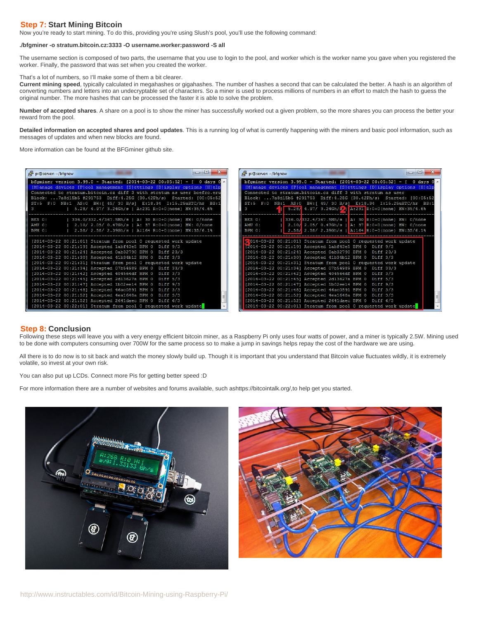## <span id="page-4-0"></span>**Step 7: Start Mining Bitcoin**

Now you're ready to start mining. To do this, providing you're using Slush's pool, you'll use the following command:

#### **./bfgminer -o stratum.bitcoin.cz:3333 -O username.worker:password -S all**

The username section is composed of two parts, the username that you use to login to the pool, and worker which is the worker name you gave when you registered the worker. Finally, the password that was set when you created the worker.

That's a lot of numbers, so I'll make some of them a bit clearer.

**Current mining speed**, typically calculated in megahashes or gigahashes. The number of hashes a second that can be calculated the better. A hash is an algorithm of converting numbers and letters into an undecryptable set of characters. So a miner is used to process millions of numbers in an effort to match the hash to guess the original number. The more hashes that can be processed the faster it is able to solve the problem.

**Number of accepted shares**. A share on a pool is to show the miner has successfully worked out a given problem, so the more shares you can process the better your reward from the pool.

**Detailed information on accepted shares and pool updates**. This is a running log of what is currently happening with the miners and basic pool information, such as messages of updates and when new blocks are found.

More information can be found at the BFGminer github site.

| $\sim$ $\Box$                                                                                                                                                                                                                                                                                                                                                                                                                               | $\Box$ $\Box$                                                                                                                                                                                                                                                                                                                                                                                                                |
|---------------------------------------------------------------------------------------------------------------------------------------------------------------------------------------------------------------------------------------------------------------------------------------------------------------------------------------------------------------------------------------------------------------------------------------------|------------------------------------------------------------------------------------------------------------------------------------------------------------------------------------------------------------------------------------------------------------------------------------------------------------------------------------------------------------------------------------------------------------------------------|
| pi@server: ~/bfgnew                                                                                                                                                                                                                                                                                                                                                                                                                         | pi@server: ~/bfgnew                                                                                                                                                                                                                                                                                                                                                                                                          |
| bfgminer version 3.99.0 - Started: [2014-03-22 00:05:52] - [ 0 days 0 $\triangle$<br>[M] anage devices [P] ool management [S] ettings [D] isplay options [H] elp<br>Connected to stratum.bitcoin.cz diff 3 with stratum as user boefro.eru<br>Block: 7a8d15b5 #291753 Diff:4.25G (30.42Ph/s) Started: [00:05:52<br>ST:5 F:0 NB:1 AS:0 BW: [ 49/ 30 B/s] E:18.34 I:15.25uBTC/hr BS:1<br>5.28/ 4.97/ 3.24Gh/s   A:231 R:0+0 (none) HW:35/4.6% | bfgminer version 3.99.0 - Started: [2014-03-22 00:05:52] - [ 0 days 0 4<br>[M] anage devices [P] ool management [S] ettings [D] isplay options [H] elp<br>Connected to stratum.bitcoin.cz diff 3 with stratum as user<br>Block: 7a8d15b5 #291753 Diff:4.25G (30.42Ph/s) Started: [00:05:52]<br>ST:5 F:0 NB:1 AS:0 BW: [ 49/ 30 B/s] E:18.34 I:15.25uBTC/hr BS:1<br>5.28/ 4.97/ 3.24Gh/s   A:231 R:0+0 (none) HW:35/4.6%<br>з |
| BES 0:                                                                                                                                                                                                                                                                                                                                                                                                                                      | 336.0/332.4/367.5Mh/s   A: 30 R:0+0 (none) HW: 0/none                                                                                                                                                                                                                                                                                                                                                                        |
| 336.0/332.4/367.5Mh/s   A: 30 R:0+0(none) HW: 0/none                                                                                                                                                                                                                                                                                                                                                                                        | BES 0:                                                                                                                                                                                                                                                                                                                                                                                                                       |
| 2.10/ 2.05/ 0.47Gh/s   A: 37 R:0+0 (none) HW: 0/none                                                                                                                                                                                                                                                                                                                                                                                        | 2.10/ 2.05/ 0.47Gh/s   A: 37 R:0+0 (none) HW: 0/none                                                                                                                                                                                                                                                                                                                                                                         |
| AMU 0:                                                                                                                                                                                                                                                                                                                                                                                                                                      | AMU 0:                                                                                                                                                                                                                                                                                                                                                                                                                       |
| BPM 0:                                                                                                                                                                                                                                                                                                                                                                                                                                      | 2.58/ 2.58/ 2.39Gh/s   A:164 R:0+0 (none) HW:35/6.1%                                                                                                                                                                                                                                                                                                                                                                         |
| 2.58/ 2.58/ 2.39Gh/s   A:164 R:0+0(none) HW:35/6.1%                                                                                                                                                                                                                                                                                                                                                                                         | BPM 0:                                                                                                                                                                                                                                                                                                                                                                                                                       |
| [2014-03-22 00:21:01] Stratum from pool 0 requested work update                                                                                                                                                                                                                                                                                                                                                                             | 2014-03-22 00:21:01] Stratum from pool 0 requested work update                                                                                                                                                                                                                                                                                                                                                               |
| [2014-03-22 00:21:19] Accepted 1abf43e5 BPM 0 Diff 9/3                                                                                                                                                                                                                                                                                                                                                                                      | 2014-03-22 00:21:19] Accepted 1abf43e5 BPM 0 Diff 9/3                                                                                                                                                                                                                                                                                                                                                                        |
| [2014-03-22 00:21:24] Accepted 0ab32790 BPM 0 Diff 23/3                                                                                                                                                                                                                                                                                                                                                                                     | [2014-03-22 00:21:24] Accepted 0ab32790 BPM 0 Diff 23/3                                                                                                                                                                                                                                                                                                                                                                      |
| [2014-03-22 00:21:30] Accepted 41b34b12 BPM 0 Diff 3/3                                                                                                                                                                                                                                                                                                                                                                                      | [2014-03-22 00:21:30] Accepted 41b34b12 BPM 0 Diff 3/3                                                                                                                                                                                                                                                                                                                                                                       |
| [2014-03-22 00:21:31] Stratum from pool 0 requested work update                                                                                                                                                                                                                                                                                                                                                                             | [2014-03-22 00:21:31] Stratum from pool 0 requested work update                                                                                                                                                                                                                                                                                                                                                              |
| [2014-03-22 00:21:34] Accepted 07b54989 BPM 0 Diff 33/3                                                                                                                                                                                                                                                                                                                                                                                     | [2014-03-22 00:21:34] Accepted 07b54989 BPM 0 Diff 33/3                                                                                                                                                                                                                                                                                                                                                                      |
| [2014-03-22 00:21:42] Accepted 404564df BPM 0 Diff 3/3                                                                                                                                                                                                                                                                                                                                                                                      | [2014-03-22 00:21:42] Accepted 404564df BPM 0 Diff 3/3                                                                                                                                                                                                                                                                                                                                                                       |
| [2014-03-22 00:21:45] Accepted 2d13627a BPM 0 Diff 5/3                                                                                                                                                                                                                                                                                                                                                                                      | [2014-03-22 00:21:45] Accepted 2d13627a BPM 0 Diff 5/3                                                                                                                                                                                                                                                                                                                                                                       |
| [2014-03-22 00:21:47] Accepted 1b02ee14 BPM 0 Diff 9/3                                                                                                                                                                                                                                                                                                                                                                                      | [2014-03-22 00:21:47] Accepted 1b02ee14 BPM 0 Diff 9/3                                                                                                                                                                                                                                                                                                                                                                       |
| [2014-03-22 00:21:48] Accepted 46ac0591 BPM 0 Diff 3/3                                                                                                                                                                                                                                                                                                                                                                                      | [2014-03-22 00:21:48] Accepted 46ac0591 BPM 0 Diff 3/3                                                                                                                                                                                                                                                                                                                                                                       |
| [2014-03-22 00:21:52] Accepted 4ea1648a BPM 0 Diff 3/3                                                                                                                                                                                                                                                                                                                                                                                      | [2014-03-22 00:21:52] Accepted 4ea1648a BPM 0 Diff 3/3                                                                                                                                                                                                                                                                                                                                                                       |
| [2014-03-22 00:21:52] Accepted 2641daec BPM 0 Diff 6/3                                                                                                                                                                                                                                                                                                                                                                                      | [2014-03-22 00:21:52] Accepted 2641daec BPM 0 Diff 6/3                                                                                                                                                                                                                                                                                                                                                                       |
| [2014-03-22 00:22:01] Stratum from pool 0 requested work update                                                                                                                                                                                                                                                                                                                                                                             | [2014-03-22 00:22:01] Stratum from pool 0 requested work update                                                                                                                                                                                                                                                                                                                                                              |

### **Step 8: Conclusion**

Following these steps will leave you with a very energy efficient bitcoin miner, as a Raspberry Pi only uses four watts of power, and a miner is typically 2.5W. Mining used to be done with computers consuming over 700W for the same process so to make a jump in savings helps repay the cost of the hardware we are using.

All there is to do now is to sit back and watch the money slowly build up. Though it is important that you understand that Bitcoin value fluctuates wildly, it is extremely volatile, so invest at your own risk.

You can also put up LCDs. Connect more Pis for getting better speed :D

For more information there are a number of websites and forums available, such ashttps://bitcointalk.org/,to help get you started.